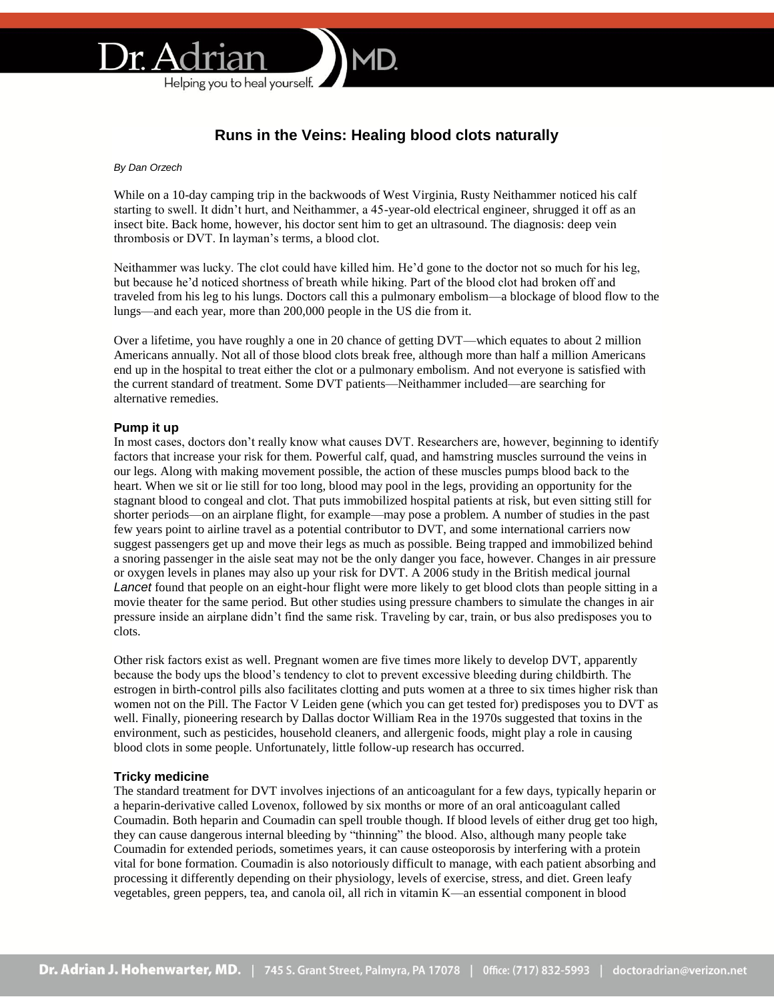

# **Runs in the Veins: Healing blood clots naturally**

*By Dan Orzech*

While on a 10-day camping trip in the backwoods of West Virginia, Rusty Neithammer noticed his calf starting to swell. It didn't hurt, and Neithammer, a 45-year-old electrical engineer, shrugged it off as an insect bite. Back home, however, his doctor sent him to get an ultrasound. The diagnosis: deep vein thrombosis or DVT. In layman's terms, a blood clot.

Neithammer was lucky. The clot could have killed him. He'd gone to the doctor not so much for his leg, but because he'd noticed shortness of breath while hiking. Part of the blood clot had broken off and traveled from his leg to his lungs. Doctors call this a pulmonary embolism—a blockage of blood flow to the lungs—and each year, more than 200,000 people in the US die from it.

Over a lifetime, you have roughly a one in 20 chance of getting DVT—which equates to about 2 million Americans annually. Not all of those blood clots break free, although more than half a million Americans end up in the hospital to treat either the clot or a pulmonary embolism. And not everyone is satisfied with the current standard of treatment. Some DVT patients—Neithammer included—are searching for alternative remedies.

# **Pump it up**

In most cases, doctors don't really know what causes DVT. Researchers are, however, beginning to identify factors that increase your risk for them. Powerful calf, quad, and hamstring muscles surround the veins in our legs. Along with making movement possible, the action of these muscles pumps blood back to the heart. When we sit or lie still for too long, blood may pool in the legs, providing an opportunity for the stagnant blood to congeal and clot. That puts immobilized hospital patients at risk, but even sitting still for shorter periods—on an airplane flight, for example—may pose a problem. A number of studies in the past few years point to airline travel as a potential contributor to DVT, and some international carriers now suggest passengers get up and move their legs as much as possible. Being trapped and immobilized behind a snoring passenger in the aisle seat may not be the only danger you face, however. Changes in air pressure or oxygen levels in planes may also up your risk for DVT. A 2006 study in the British medical journal *Lancet* found that people on an eight-hour flight were more likely to get blood clots than people sitting in a movie theater for the same period. But other studies using pressure chambers to simulate the changes in air pressure inside an airplane didn't find the same risk. Traveling by car, train, or bus also predisposes you to clots.

Other risk factors exist as well. Pregnant women are five times more likely to develop DVT, apparently because the body ups the blood's tendency to clot to prevent excessive bleeding during childbirth. The estrogen in birth-control pills also facilitates clotting and puts women at a three to six times higher risk than women not on the Pill. The Factor V Leiden gene (which you can get tested for) predisposes you to DVT as well. Finally, pioneering research by Dallas doctor William Rea in the 1970s suggested that toxins in the environment, such as pesticides, household cleaners, and allergenic foods, might play a role in causing blood clots in some people. Unfortunately, little follow-up research has occurred.

## **Tricky medicine**

The standard treatment for DVT involves injections of an anticoagulant for a few days, typically heparin or a heparin-derivative called Lovenox, followed by six months or more of an oral anticoagulant called Coumadin. Both heparin and Coumadin can spell trouble though. If blood levels of either drug get too high, they can cause dangerous internal bleeding by "thinning" the blood. Also, although many people take Coumadin for extended periods, sometimes years, it can cause osteoporosis by interfering with a protein vital for bone formation. Coumadin is also notoriously difficult to manage, with each patient absorbing and processing it differently depending on their physiology, levels of exercise, stress, and diet. Green leafy vegetables, green peppers, tea, and canola oil, all rich in vitamin K—an essential component in blood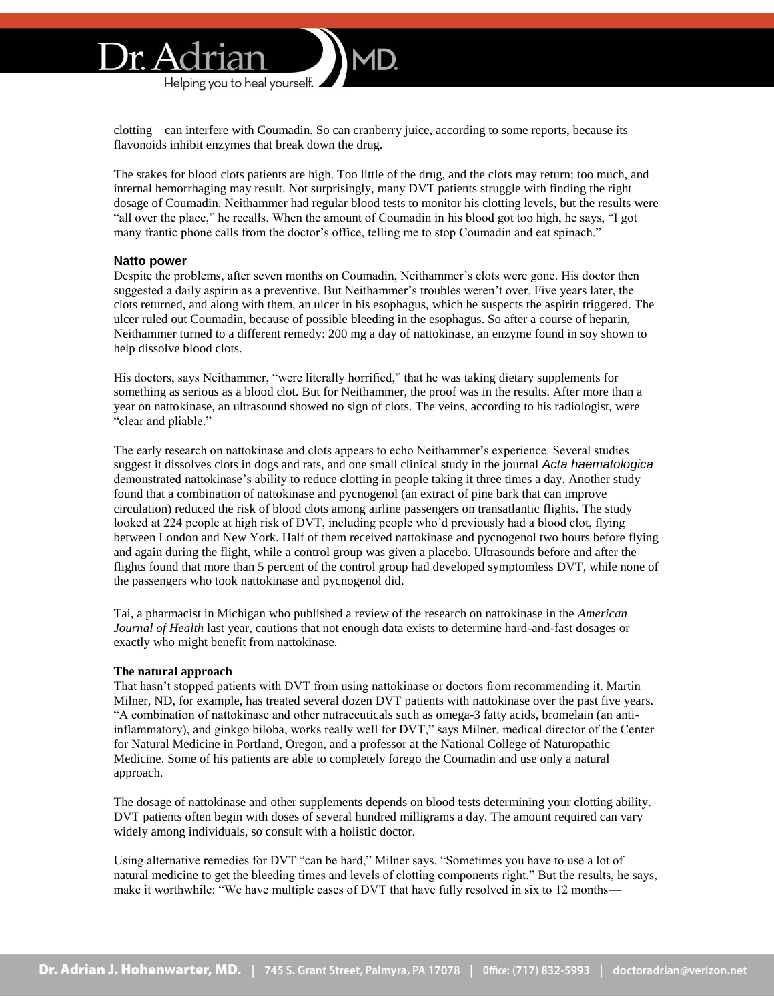clotting—can interfere with Coumadin. So can cranberry juice, according to some reports, because its flavonoids inhibit enzymes that break down the drug.

The stakes for blood clots patients are high. Too little of the drug, and the clots may return; too much, and internal hemorrhaging may result. Not surprisingly, many DVT patients struggle with finding the right dosage of Coumadin. Neithammer had regular blood tests to monitor his clotting levels, but the results were "all over the place," he recalls. When the amount of Coumadin in his blood got too high, he says, "I got many frantic phone calls from the doctor's office, telling me to stop Coumadin and eat spinach."

#### **Natto power**

Despite the problems, after seven months on Coumadin, Neithammer's clots were gone. His doctor then suggested a daily aspirin as a preventive. But Neithammer's troubles weren't over. Five years later, the clots returned, and along with them, an ulcer in his esophagus, which he suspects the aspirin triggered. The ulcer ruled out Coumadin, because of possible bleeding in the esophagus. So after a course of heparin, Neithammer turned to a different remedy: 200 mg a day of nattokinase, an enzyme found in soy shown to help dissolve blood clots.

His doctors, says Neithammer, "were literally horrified," that he was taking dietary supplements for something as serious as a blood clot. But for Neithammer, the proof was in the results. After more than a year on nattokinase, an ultrasound showed no sign of clots. The veins, according to his radiologist, were "clear and pliable."

The early research on nattokinase and clots appears to echo Neithammer's experience. Several studies suggest it dissolves clots in dogs and rats, and one small clinical study in the journal *Acta haematologica* demonstrated nattokinase's ability to reduce clotting in people taking it three times a day. Another study found that a combination of nattokinase and pycnogenol (an extract of pine bark that can improve circulation) reduced the risk of blood clots among airline passengers on transatlantic flights. The study looked at 224 people at high risk of DVT, including people who'd previously had a blood clot, flying between London and New York. Half of them received nattokinase and pycnogenol two hours before flying and again during the flight, while a control group was given a placebo. Ultrasounds before and after the flights found that more than 5 percent of the control group had developed symptomless DVT, while none of the passengers who took nattokinase and pycnogenol did.

Tai, a pharmacist in Michigan who published a review of the research on nattokinase in the *American Journal of Health* last year, cautions that not enough data exists to determine hard-and-fast dosages or exactly who might benefit from nattokinase.

#### **The natural approach**

That hasn't stopped patients with DVT from using nattokinase or doctors from recommending it. Martin Milner, ND, for example, has treated several dozen DVT patients with nattokinase over the past five years. "A combination of nattokinase and other nutraceuticals such as omega-3 fatty acids, bromelain (an antiinflammatory), and ginkgo biloba, works really well for DVT," says Milner, medical director of the Center for Natural Medicine in Portland, Oregon, and a professor at the National College of Naturopathic Medicine. Some of his patients are able to completely forego the Coumadin and use only a natural approach.

The dosage of nattokinase and other supplements depends on blood tests determining your clotting ability. DVT patients often begin with doses of several hundred milligrams a day. The amount required can vary widely among individuals, so consult with a holistic doctor.

Using alternative remedies for DVT "can be hard," Milner says. "Sometimes you have to use a lot of natural medicine to get the bleeding times and levels of clotting components right." But the results, he says, make it worthwhile: "We have multiple cases of DVT that have fully resolved in six to 12 months—